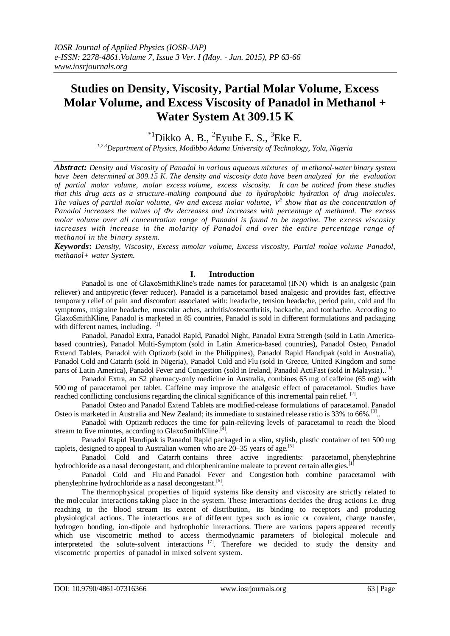# **Studies on Density, Viscosity, Partial Molar Volume, Excess Molar Volume, and Excess Viscosity of Panadol in Methanol + Water System At 309.15 K**

 $^{*1}$ Dikko A. B.,  $^{2}$ Eyube E. S.,  $^{3}$ Eke E.

*1,2,3Department of Physics, Modibbo Adama University of Technology, Yola, Nigeria*

*Abstract: Density and Viscosity of Panadol in various aqueous mixtures of m ethanol-water binary system have been determined at 309.15 K. The density and viscosity data have been analyzed for the evaluation of partial molar volume, molar excess volume, excess viscosity. It can be noticed from these studies that this drug acts as a structure -making compound due to hydrophobic hydration of drug molecules. The values of partial molar volume, Фv and excess molar volume, V E show that as the concentration of Panadol increases the values of Фv decreases and increases with percentage of methanol. The excess molar volume over all concentration range of Panadol is found to be negative. The excess viscosity increases with increase in the molarity of Panadol and over the entire percentage range of methanol in the binary system.*

*Keywords***:** *Density, Viscosity, Excess mmolar volume, Excess viscosity, Partial molae volume Panadol, methanol+ water System.*

## **I. Introduction**

Panadol is one of [GlaxoSmithKline's](http://en.wikipedia.org/wiki/GlaxoSmithKline) [trade names](http://en.wikipedia.org/wiki/Trade_name) for [paracetamol](http://en.wikipedia.org/wiki/Paracetamol) [\(INN\)](http://en.wikipedia.org/wiki/International_Nonproprietary_Name) which is an [analgesic](http://en.wikipedia.org/wiki/Analgesic) (pain reliever) and [antipyretic](http://en.wikipedia.org/wiki/Antipyretic) (fever reducer). Panadol is a paracetamol based analgesic and provides fast, effective temporary relief of pain and discomfort associated with: headache, tension headache, period pain, cold and flu symptoms, migraine headache, muscular aches, arthritis/osteoarthritis, backache, and toothache. According to GlaxoSmithKline, Panadol is marketed in 85 countries, Panadol is sold in different formulations and packaging with different names, including. [1]

Panadol, Panadol Extra, Panadol Rapid, Panadol Night, Panadol Extra Strength (sold in Latin Americabased countries), Panadol Multi-Symptom (sold in Latin America-based countries), Panadol Osteo, Panadol Extend Tablets, Panadol with Optizorb (sold in the Philippines), Panadol Rapid Handipak (sold in Australia), Panadol [Cold](http://en.wikipedia.org/wiki/Common_cold) and [Catarrh](http://en.wikipedia.org/wiki/Catarrh) (sold in Nigeria), Panadol Cold and [Flu](http://en.wikipedia.org/wiki/Flu) (sold in Greece, United Kingdom and some parts of Latin America), Panadol Fever and Congestion (sold in Ireland, Panadol ActiFast (sold in Malaysia)..<sup>[1]</sup>

Panadol Extra, an S2 pharmacy-only medicine in Australia, combines 65 mg of [caffeine](http://en.wikipedia.org/wiki/Caffeine) (65 mg) with 500 mg of paracetamol per tablet. Caffeine may improve the analgesic effect of paracetamol. Studies have reached conflicting conclusions regarding the clinical significance of this incremental pain relief. [2].

Panadol Osteo and Panadol Extend Tablets are modified-release formulations of paracetamol. Panadol Osteo is marketed in Australia and New Zealand; its immediate to sustained release ratio is 33% to 66%.<sup>[\[3\]](http://en.wikipedia.org/wiki/Panadol#cite_note-15)</sup>.

Panadol with Optizorb reduces the time for pain-relieving levels of paracetamol to reach the blood stream to five minutes, according to GlaxoSmithKline.<sup>[\[4\]](http://en.wikipedia.org/wiki/Panadol#cite_note-philstar-1)</sup>.

Panadol Rapid Handipak is Panadol Rapid packaged in a slim, stylish, plastic container of ten 500 mg caplets, designed to appeal to Australian women who are 20–35 years of age.<sup>[\[5\]](http://en.wikipedia.org/wiki/Panadol#cite_note-16)</sup>

Panadol Cold and Catarrh contains three active ingredients: paracetamol, [phenylephrine](http://en.wikipedia.org/wiki/Phenylephrine_hydrochloride)  [hydrochloride](http://en.wikipedia.org/wiki/Phenylephrine_hydrochloride) as a nasal decongestant, and [chlorpheniramine maleate](http://en.wikipedia.org/wiki/Chlorphenamine) to prevent certain [allergies.](http://en.wikipedia.org/wiki/Allergy)<sup>[\[1\]](http://en.wikipedia.org/wiki/Panadol#cite_note-okonta2008-10)</sup>

Panadol Cold and Flu and Panadol Fever and Congestion both combine paracetamol with phenylephrine hydrochloride as a nasal decongestant.<sup>[\[6\]](http://en.wikipedia.org/wiki/Panadol#cite_note-mathewson2014-4)</sup>.

The thermophysical properties of liquid systems like density and viscosity are strictly related to the molecular interactions taking place in the system. These interactions decides the drug actions i.e. drug reaching to the blood stream its extent of distribution, its binding to receptors and producing physiological actions. The interactions are of different types such as ionic or covalent, charge transfer, hydrogen bonding, ion-dipole and hydrophobic interactions. There are various papers appeared recently which use viscometric method to access thermodynamic parameters of biological molecule and interpreteted the solute-solvent interactions<sup>[7]</sup>. Therefore we decided to study the density and viscometric properties of panadol in mixed solvent system.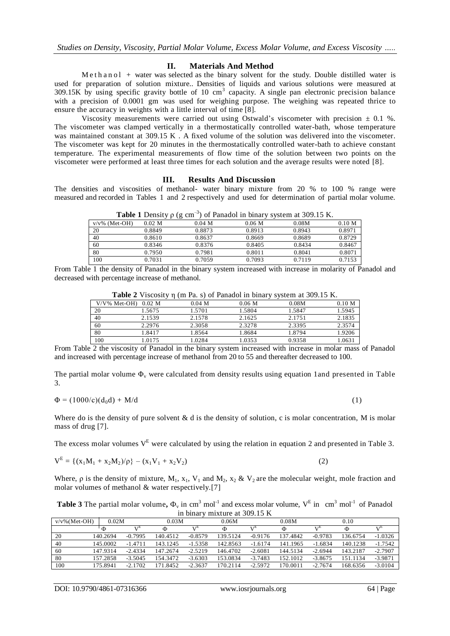### **II. Materials And Method**

M e th a n o l + water was selected as the binary solvent for the study. Double distilled water is used for preparation of solution mixture.. Densities of liquids and various solutions were measured at 309.15K by using specific gravity bottle of 10 cm<sup>3</sup> capacity. A single pan electronic precision balance with a precision of 0.0001 gm was used for weighing purpose. The weighing was repeated thrice to ensure the accuracy in weights with a little interval of time [8].

Viscosity measurements were carried out using Ostwald's viscometer with precision  $\pm$  0.1 %. The viscometer was clamped vertically in a thermostatically controlled water-bath, whose temperature was maintained constant at 309.15 K. A fixed volume of the solution was delivered into the viscometer. The viscometer was kept for 20 minutes in the thermostatically controlled water-bath to achieve constant temperature. The experimental measurements of flow time of the solution between two points on the viscometer were performed at least three times for each solution and the average results were noted [8].

#### **III. Results And Discussion**

The densities and viscosities of methanol- water binary mixture from 20 % to 100 % range were measured and recorded in Tables 1 and 2 respectively and used for determination of partial molar volume.

|                  | .        |          | --                |        |        |
|------------------|----------|----------|-------------------|--------|--------|
| $v/v\%$ (Met-OH) | $0.02$ M | $0.04$ M | 0.06 <sub>M</sub> | 0.08M  | 0.10 M |
| 20               | 0.8849   | 0.8873   | 0.8913            | 0.8943 | 0.8971 |
| 40               | 0.8610   | 0.8637   | 0.8669            | 0.8689 | 0.8729 |
| 60               | 0.8346   | 0.8376   | 0.8405            | 0.8434 | 0.8467 |
| 80               | 0.7950   | 0.7981   | 0.8011            | 0.8041 | 0.8071 |
| 100              | 0.7031   | 0.7059   | 0.7093            | 0.7119 | 0.7153 |

**Table 1** Density  $\rho$  (g cm<sup>-3</sup>) of Panadol in binary system at 309.15 K.

From Table 1 the density of Panadol in the binary system increased with increase in molarity of Panadol and decreased with percentage increase of methanol.

|     |                        | <b>THE TENDENT IS AND THE THE EXAMPLE THE CONSEQUENTE IN THE PROPERTY IS AND</b> |                   |        |        |
|-----|------------------------|----------------------------------------------------------------------------------|-------------------|--------|--------|
|     | $V/V\%$ Met-OH) 0.02 M | $0.04$ M                                                                         | 0.06 <sub>M</sub> | 0.08M  | 0.10 M |
| 20  | 1.5675                 | 1.5701                                                                           | 1.5804            | 1.5847 | 1.5945 |
| 40  | 2.1539                 | 2.1578                                                                           | 2.1625            | 2.1751 | 2.1835 |
| 60  | 2.2976                 | 2.3058                                                                           | 2.3278            | 2.3395 | 2.3574 |
| 80  | 1.8417                 | 1.8564                                                                           | 1.8684            | 1.8794 | 1.9206 |
| 100 | 1.0175                 | 1.0284                                                                           | 1.0353            | 0.9358 | 1.0631 |

**Table 2** Viscosity n (m Pa. s) of Panadol in binary system at 309.15 K.

From Table 2 the viscosity of Panadol in the binary system increased with increase in molar mass of Panadol and increased with percentage increase of methanol from 20 to 55 and thereafter decreased to 100.

The partial molar volume  $\Phi_{\rm v}$  were calculated from density results using equation 1and presented in Table 3.

$$
\Phi = (1000/c)(d_0 d) + M/d
$$
 (1)

Where do is the density of pure solvent  $\&$  d is the density of solution, c is molar concentration, M is molar mass of drug [7].

The excess molar volumes  $V<sup>E</sup>$  were calculated by using the relation in equation 2 and presented in Table 3.

$$
V^{E} = \{ (x_1M_1 + x_2M_2)/\rho \} - (x_1V_1 + x_2V_2)
$$
 (2)

Where,  $\rho$  is the density of mixture,  $M_1$ ,  $x_1$ ,  $V_1$  and  $M_2$ ,  $x_2 \& V_2$  are the molecular weight, mole fraction and molar volumes of methanol & water respectively.[7]

**Table 3** The partial molar volume,  $\Phi_v$  in cm<sup>3</sup> mol<sup>-1</sup> and excess molar volume,  $V^E$  in cm<sup>3</sup> mol<sup>-1</sup> of Panadol in binary mixture at 309.15 K

| $v/v\%$ (Met-OH) | 0.02M    |                       | 0.03M    |           | 0.06M    |           | 0.08M    |           | 0.10     |           |
|------------------|----------|-----------------------|----------|-----------|----------|-----------|----------|-----------|----------|-----------|
|                  | Ф        | <b>T</b> <sub>L</sub> | Φ        | ۲E)       | Φ        | 17E       | Φ        | ٦TE       | Ф        | i ≇E      |
| 20               | 140.2694 | $-0.7995$             | 140.4512 | $-0.8579$ | 139.5124 | $-0.9176$ | 137.4842 | $-0.9783$ | 136.6754 | $-1.0326$ |
| 40               | 145.0002 | -14711                | 143.1245 | $-1.5358$ | 142.8563 | $-1.6174$ | 141.1965 | $-1.6834$ | 140.1238 | $-1.7542$ |
| -60              | 147 9314 | $-2.4334$             | 147.2674 | $-2.5219$ | 146.4702 | $-2.6081$ | 144.5134 | $-2.6944$ | 143.2187 | $-2.7907$ |
| 80               | 157.2858 | $-3.5045$             | 154.3472 | $-3.6303$ | 153.0834 | $-3.7483$ | 152.1012 | $-3.8675$ | 151.1134 | $-3.9871$ |
| 100              | 175.8941 | $-2.1702$             | .8452    | $-2.3637$ | 170.2114 | $-2.5972$ | 70.0011  | $-2.7674$ | 168.6356 | $-3.0104$ |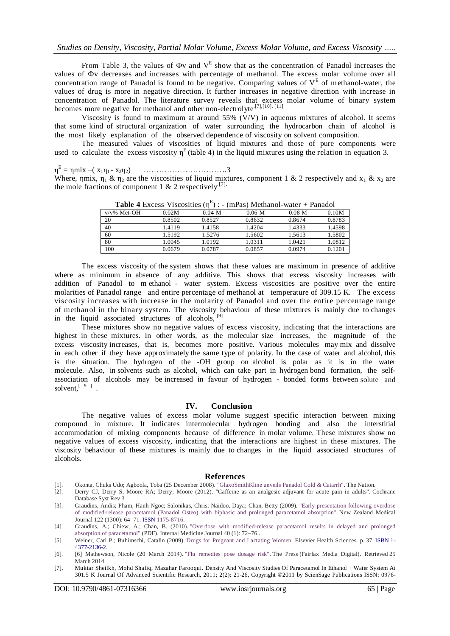From Table 3, the values of  $\Phi$ v and  $V^E$  show that as the concentration of Panadol increases the values of Фv decreases and increases with percentage of methanol. The excess molar volume over all concentration range of Panadol is found to be negative. Comparing values of  $V<sup>E</sup>$  of methanol-water, the values of drug is more in negative direction. It further increases in negative direction with increase in concentration of Panadol. The literature survey reveals that excess molar volume of binary system becomes more negative for methanol and other non-electrolyte<sup>[7],[10],[11]</sup>

Viscosity is found to maximum at around 55% (V/V) in aqueous mixtures of alcohol. It seems that some kind of structural organization of water surrounding the hydrocarbon chain of alcohol is the most likely explanation of the observed dependence of viscosity on solvent composition.

The measured values of viscosities of liquid mixtures and those of pure components were used to calculate the excess viscosity  $\eta^E$  (table 4) in the liquid mixtures using the relation in equation 3.

#### $η^{\rm E}$ = ηmix –( x1η<sup>1</sup> - x2η2) …………………………..3

Where, ηmix,  $\eta_1 \& \eta_2$  are the viscosities of liquid mixtures, component 1 & 2 respectively and  $x_1 \& x_2$  are the mole fractions of component 1 & 2 respectively<sup>[7]</sup>.

|                | <b>Table + EACESS</b> VISCOSILIES (II) |          | $\lim$ as $\lim$ ivieliality - water $\pm$ r allayer |                   |        |
|----------------|----------------------------------------|----------|------------------------------------------------------|-------------------|--------|
| $v/v\%$ Met-OH | 0.02M                                  | $0.04$ M | 0.06 M                                               | 0.08 <sub>M</sub> | 0.10M  |
| 20             | 0.8502                                 | 0.8527   | 0.8632                                               | 0.8674            | 0.8783 |
| 40             | 14119                                  | 1.4158   | 1.4204                                               | 1.4333            | 1.4598 |
| 60             | 1.5192                                 | 1.5276   | 1.5602                                               | 1.5613            | 1.5802 |
| 80             | 1.0045                                 | 1.0192   | 1.0311                                               | 1.0421            | 1.0812 |
| 100            | 0.0679                                 | 0.0787   | 0.0857                                               | 0.0974            | 0.1201 |

**Table 4** Excess Viscosities  $(\eta^E)$  : - (mPas) Methanol-water + Panadol

The excess viscosity of the system shows that these values are maximum in presence of additive where as minimum in absence of any additive. This shows that excess viscosity increases with addition of Panadol to m ethanol - water system. Excess viscosities are positive over the entire molarities of Panadol range and entire percentage of methanol at temperature of 309.15 K. The excess viscosity increases with increase in the molarity of Panadol and over the entire percentage range of methanol in the binary system. The viscosity behaviour of these mixtures is mainly due to changes in the liquid associated structures of alcohols, <sup>[9]</sup>

These mixtures show no negative values of excess viscosity, indicating that the interactions are highest in these mixtures. In other words, as the molecular size increases, the magnitude of the excess viscosity increases, that is, becomes more positive. Various molecules may mix and dissolve in each other if they have approximately the same type of polarity. In the case of water and alcohol, this is the situation. The hydrogen of the -OH group on alcohol is polar as it is in the water molecule. Also, in solvents such as alcohol, which can take part in hydrogen bond formation, the selfassociation of alcohols may be increased in favour of hydrogen - bonded forms between solute and solvent,  $[$   $9$   $]$ .

#### **IV. Conclusion**

The negative values of excess molar volume suggest specific interaction between mixing compound in mixture. It indicates intermolecular hydrogen bonding and also the interstitial accommodation of mixing components because of difference in molar volume. These mixtures show no negative values of excess viscosity, indicating that the interactions are highest in these mixtures. The viscosity behaviour of these mixtures is mainly due to changes in the liquid associated structures of alcohols.

#### **References**

- [1]. Okonta, Chuks Udo; Agboola, Toba (25 December 2008). ["GlaxoSmithKline unveils Panadol Cold & Catarrh".](http://www.thenationonlineng.net/archive2/tblnews_Detail.php?id=73378) The Nation.
- [2]. Derry CJ, Derry S, Moore RA; Derry; Moore (2012). "Caffeine as an analgesic adjuvant for acute pain in adults". Cochrane Database Syst Rev 3
- [3]. Graudins, Andis; Pham, Hanh Ngoc; Salonikas, Chris; Naidoo, Daya; Chan, Betty (2009). ["Early presentation following overdose](http://www.researchgate.net/publication/26761573_Early_presentation_following_overdose_of_modified-release_paracetamol_%28Panadol_Osteo%29_with_biphasic_and_prolonged_paracetamol_absorption)  [of modified-release paracetamol \(Panadol Osteo\) with](http://www.researchgate.net/publication/26761573_Early_presentation_following_overdose_of_modified-release_paracetamol_%28Panadol_Osteo%29_with_biphasic_and_prolonged_paracetamol_absorption) biphasic and prolonged paracetamol absorption". New Zealand Medical Journal 122 (1300): 64–71. [ISSN](http://en.wikipedia.org/wiki/International_Standard_Serial_Number) [1175-8716.](http://www.worldcat.org/issn/1175-8716)
- [4]. Graudins, A.; Chiew, A.; Chan, B. (2010). ["Overdose with modified-release paracetamol results in delayed and prolonged](http://www.researchgate.net/profile/Angela_Chiew/publication/44686001_Overdose_with_modified-release_paracetamol_results_in_delayed_and_prolonged_absorption_of_paracetamol/file/9fcfd508146b3b4b8d.pdf)  [absorption of paracetamol"](http://www.researchgate.net/profile/Angela_Chiew/publication/44686001_Overdose_with_modified-release_paracetamol_results_in_delayed_and_prolonged_absorption_of_paracetamol/file/9fcfd508146b3b4b8d.pdf) (PDF). Internal Medicine Journal 40 (1): 72–76..
- [5]. Weiner, Carl P.; Buhimschi, Catalin (2009). [Drugs for Pregnant and Lactating Women.](http://books.google.com/books?id=HivMqTFV_twC&pg=PT37) Elsevier Health Sciences. p. 37. [ISBN](http://en.wikipedia.org/wiki/International_Standard_Book_Number) [1-](http://en.wikipedia.org/wiki/Special:BookSources/1-4377-2136-2) [4377-2136-2.](http://en.wikipedia.org/wiki/Special:BookSources/1-4377-2136-2)
- [6]. [6] Mathewson, Nicole (20 March 2014). ["Flu remedies pose dosage risk".](http://www.stuff.co.nz/the-press/news/9848950/Flu-remedies-pose-dosage-risk) The Press (Fairfax Media Digital). Retrieved 25 March 2014.
- [7]. Muktar Sheilkh, Mohd Shafiq, Mazahar Farooqui. Density And Viscosity Studies Of Paracetamol In Ethanol + Water System At 301.5 K Journal Of Advanced Scientific Research, 2011; 2(2): 21-26, Copyright ©2011 by ScienSage Publications ISSN: 0976-